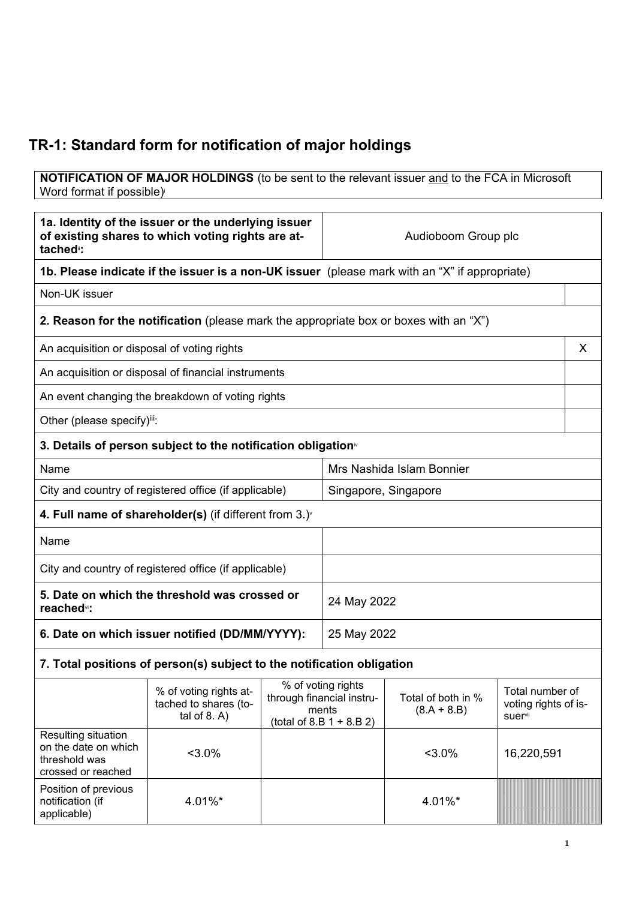## **TR-1: Standard form for notification of major holdings**

**NOTIFICATION OF MAJOR HOLDINGS** (to be sent to the relevant issuer and to the FCA in Microsoft Word format if possible)

| 1a. Identity of the issuer or the underlying issuer<br>of existing shares to which voting rights are at-<br>tached <sup>"</sup> : |                                                                                       | Audioboom Group plc |                                                                                         |                                     |                                                    |   |
|-----------------------------------------------------------------------------------------------------------------------------------|---------------------------------------------------------------------------------------|---------------------|-----------------------------------------------------------------------------------------|-------------------------------------|----------------------------------------------------|---|
| 1b. Please indicate if the issuer is a non-UK issuer (please mark with an "X" if appropriate)                                     |                                                                                       |                     |                                                                                         |                                     |                                                    |   |
| Non-UK issuer                                                                                                                     |                                                                                       |                     |                                                                                         |                                     |                                                    |   |
|                                                                                                                                   | 2. Reason for the notification (please mark the appropriate box or boxes with an "X") |                     |                                                                                         |                                     |                                                    |   |
| An acquisition or disposal of voting rights                                                                                       |                                                                                       |                     |                                                                                         |                                     |                                                    | X |
|                                                                                                                                   | An acquisition or disposal of financial instruments                                   |                     |                                                                                         |                                     |                                                    |   |
|                                                                                                                                   | An event changing the breakdown of voting rights                                      |                     |                                                                                         |                                     |                                                    |   |
| Other (please specify)iii:                                                                                                        |                                                                                       |                     |                                                                                         |                                     |                                                    |   |
|                                                                                                                                   | 3. Details of person subject to the notification obligation <sup>®</sup>              |                     |                                                                                         |                                     |                                                    |   |
| Name                                                                                                                              |                                                                                       |                     | Mrs Nashida Islam Bonnier                                                               |                                     |                                                    |   |
|                                                                                                                                   | City and country of registered office (if applicable)                                 |                     | Singapore, Singapore                                                                    |                                     |                                                    |   |
|                                                                                                                                   | 4. Full name of shareholder(s) (if different from $3.$ ) $\check{ }$                  |                     |                                                                                         |                                     |                                                    |   |
| Name                                                                                                                              |                                                                                       |                     |                                                                                         |                                     |                                                    |   |
| City and country of registered office (if applicable)                                                                             |                                                                                       |                     |                                                                                         |                                     |                                                    |   |
| 5. Date on which the threshold was crossed or<br>reached <sup>vi</sup> :                                                          |                                                                                       | 24 May 2022         |                                                                                         |                                     |                                                    |   |
| 6. Date on which issuer notified (DD/MM/YYYY):                                                                                    |                                                                                       | 25 May 2022         |                                                                                         |                                     |                                                    |   |
|                                                                                                                                   | 7. Total positions of person(s) subject to the notification obligation                |                     |                                                                                         |                                     |                                                    |   |
|                                                                                                                                   | % of voting rights at-<br>tached to shares (to-<br>tal of $8. A$ )                    |                     | % of voting rights<br>through financial instru-<br>ments<br>(total of 8.B $1 + 8.B 2$ ) | Total of both in %<br>$(8.A + 8.B)$ | Total number of<br>voting rights of is-<br>suervii |   |
| Resulting situation<br>on the date on which<br>threshold was<br>crossed or reached                                                | $3.0\%$                                                                               |                     |                                                                                         | $3.0\%$                             | 16,220,591                                         |   |
| Position of previous<br>notification (if<br>applicable)                                                                           | 4.01%*                                                                                |                     |                                                                                         | 4.01%*                              |                                                    |   |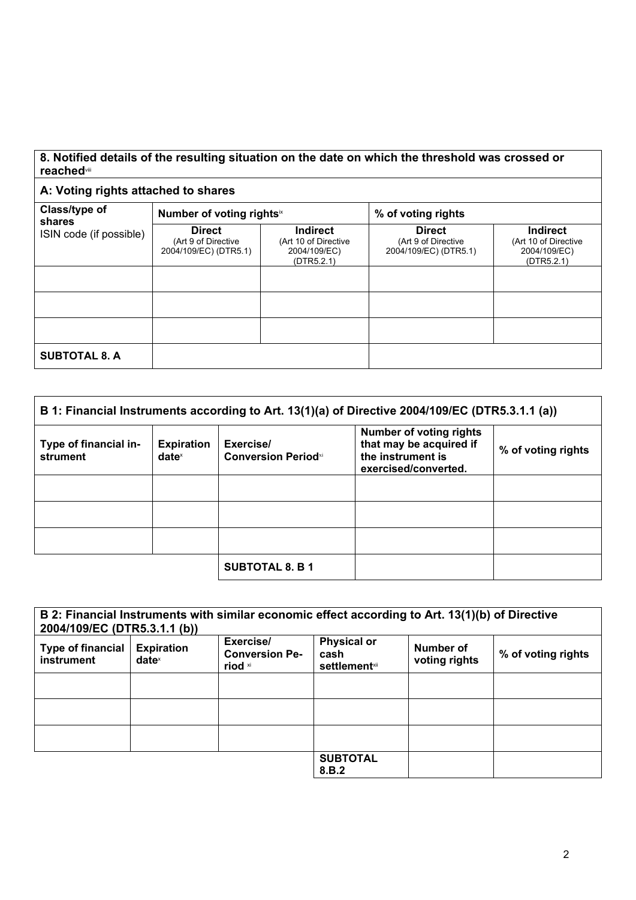## **8. Notified details of the resulting situation on the date on which the threshold was crossed or reached**viii

## **A: Voting rights attached to shares**

| Class/type of<br>shares | Number of voting rightsix                                     |                                                                | % of voting rights                                            |                                                                       |  |
|-------------------------|---------------------------------------------------------------|----------------------------------------------------------------|---------------------------------------------------------------|-----------------------------------------------------------------------|--|
| ISIN code (if possible) | <b>Direct</b><br>(Art 9 of Directive<br>2004/109/EC) (DTR5.1) | Indirect<br>(Art 10 of Directive<br>2004/109/EC)<br>(DTR5.2.1) | <b>Direct</b><br>(Art 9 of Directive<br>2004/109/EC) (DTR5.1) | <b>Indirect</b><br>(Art 10 of Directive<br>2004/109/EC)<br>(DTR5.2.1) |  |
|                         |                                                               |                                                                |                                                               |                                                                       |  |
|                         |                                                               |                                                                |                                                               |                                                                       |  |
|                         |                                                               |                                                                |                                                               |                                                                       |  |
| <b>SUBTOTAL 8. A</b>    |                                                               |                                                                |                                                               |                                                                       |  |

| B 1: Financial Instruments according to Art. 13(1)(a) of Directive 2004/109/EC (DTR5.3.1.1 (a)) |                                        |                                         |                                                                                                        |                    |
|-------------------------------------------------------------------------------------------------|----------------------------------------|-----------------------------------------|--------------------------------------------------------------------------------------------------------|--------------------|
| Type of financial in-<br>strument                                                               | <b>Expiration</b><br>date <sup>x</sup> | Exercise/<br><b>Conversion Periodxi</b> | <b>Number of voting rights</b><br>that may be acquired if<br>the instrument is<br>exercised/converted. | % of voting rights |
|                                                                                                 |                                        |                                         |                                                                                                        |                    |
|                                                                                                 |                                        |                                         |                                                                                                        |                    |
|                                                                                                 |                                        |                                         |                                                                                                        |                    |
|                                                                                                 |                                        | <b>SUBTOTAL 8. B 1</b>                  |                                                                                                        |                    |

| 2004/109/EC (DTR5.3.1.1 (b))           |                                        | B 2: Financial Instruments with similar economic effect according to Art. 13(1)(b) of Directive |                                                     |                            |                    |
|----------------------------------------|----------------------------------------|-------------------------------------------------------------------------------------------------|-----------------------------------------------------|----------------------------|--------------------|
| <b>Type of financial</b><br>instrument | <b>Expiration</b><br>date <sup>x</sup> | Exercise/<br><b>Conversion Pe-</b><br>riod xi                                                   | <b>Physical or</b><br>cash<br><b>settlement</b> xii | Number of<br>voting rights | % of voting rights |
|                                        |                                        |                                                                                                 |                                                     |                            |                    |
|                                        |                                        |                                                                                                 |                                                     |                            |                    |
|                                        |                                        |                                                                                                 |                                                     |                            |                    |
|                                        |                                        |                                                                                                 | <b>SUBTOTAL</b><br>8.B.2                            |                            |                    |